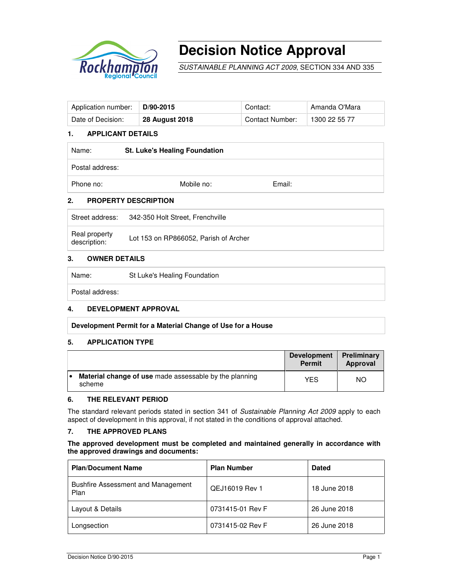

# **Decision Notice Approval**

SUSTAINABLE PLANNING ACT 2009, SECTION 334 AND 335

| Application number: | $D/90-2015$           | Contact:               | Amanda O'Mara |
|---------------------|-----------------------|------------------------|---------------|
| Date of Decision:   | <b>28 August 2018</b> | <b>Contact Number:</b> | $+1300225577$ |

## **1. APPLICANT DETAILS**

| Name:           | <b>St. Luke's Healing Foundation</b> |        |  |
|-----------------|--------------------------------------|--------|--|
| Postal address: |                                      |        |  |
| Phone no:       | Mobile no:                           | Email: |  |
| 7               | <b>DRODERTY DESCRIPTION</b>          |        |  |

#### **2. PROPERTY DESCRIPTION**

Street address: 342-350 Holt Street, Frenchville

| Real property | Lot 153 on RP866052, Parish of Archer |
|---------------|---------------------------------------|
| description:  |                                       |

#### **3. OWNER DETAILS**

| Name:           | St Luke's Healing Foundation |
|-----------------|------------------------------|
| Postal address: |                              |

#### **4. DEVELOPMENT APPROVAL**

**Development Permit for a Material Change of Use for a House** 

#### **5. APPLICATION TYPE**

|   |                                                                         | <b>Development</b><br><b>Permit</b> | Preliminary<br>Approval |
|---|-------------------------------------------------------------------------|-------------------------------------|-------------------------|
| ۰ | <b>Material change of use</b> made assessable by the planning<br>scheme | YES                                 | NO.                     |

### **6. THE RELEVANT PERIOD**

The standard relevant periods stated in section 341 of Sustainable Planning Act 2009 apply to each aspect of development in this approval, if not stated in the conditions of approval attached.

## **7. THE APPROVED PLANS**

#### **The approved development must be completed and maintained generally in accordance with the approved drawings and documents:**

| <b>Plan/Document Name</b>                         | <b>Plan Number</b> | <b>Dated</b> |
|---------------------------------------------------|--------------------|--------------|
| <b>Bushfire Assessment and Management</b><br>Plan | QEJ16019 Rev 1     | 18 June 2018 |
| Layout & Details                                  | 0731415-01 Rev F   | 26 June 2018 |
| Longsection                                       | 0731415-02 Rev F   | 26 June 2018 |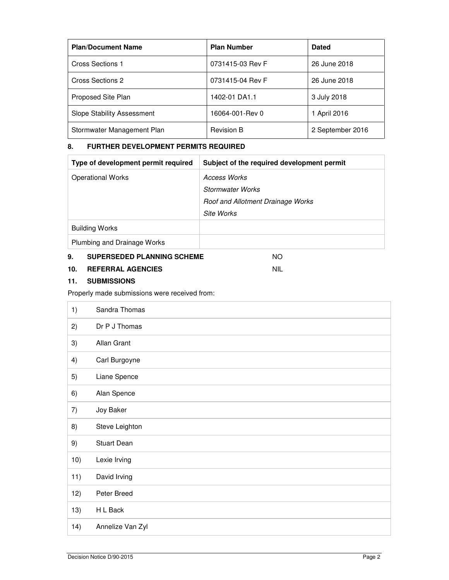| <b>Plan/Document Name</b>         | <b>Plan Number</b> | <b>Dated</b>     |
|-----------------------------------|--------------------|------------------|
| Cross Sections 1                  | 0731415-03 Rev F   | 26 June 2018     |
| Cross Sections 2                  | 0731415-04 Rev F   | 26 June 2018     |
| Proposed Site Plan                | 1402-01 DA1.1      | 3 July 2018      |
| <b>Slope Stability Assessment</b> | 16064-001-Rev 0    | 1 April 2016     |
| Stormwater Management Plan        | <b>Revision B</b>  | 2 September 2016 |

# **8. FURTHER DEVELOPMENT PERMITS REQUIRED**

| Type of development permit required | Subject of the required development permit |
|-------------------------------------|--------------------------------------------|
| <b>Operational Works</b>            | Access Works                               |
|                                     | <b>Stormwater Works</b>                    |
|                                     | Roof and Allotment Drainage Works          |
|                                     | Site Works                                 |
| <b>Building Works</b>               |                                            |
| Plumbing and Drainage Works         |                                            |

## **9. SUPERSEDED PLANNING SCHEME** NO

# **10. REFERRAL AGENCIES** NIL

## **11. SUBMISSIONS**

# Properly made submissions were received from:

| 1)  | Sandra Thomas      |
|-----|--------------------|
| 2)  | Dr P J Thomas      |
| 3)  | Allan Grant        |
| 4)  | Carl Burgoyne      |
| 5)  | Liane Spence       |
| 6)  | Alan Spence        |
| 7)  | Joy Baker          |
| 8)  | Steve Leighton     |
| 9)  | <b>Stuart Dean</b> |
| 10) | Lexie Irving       |
| 11) | David Irving       |
| 12) | Peter Breed        |
| 13) | H L Back           |
| 14) | Annelize Van Zyl   |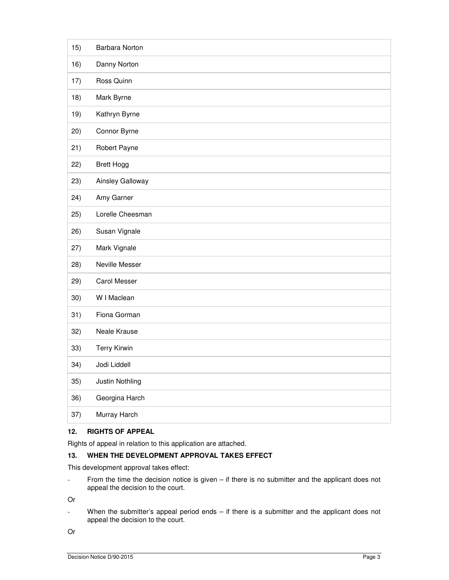| 16)<br>Danny Norton<br>Ross Quinn<br>17)<br>18)<br>Mark Byrne<br>Kathryn Byrne<br>19)<br>Connor Byrne<br>20)<br>Robert Payne<br>21)<br>22)<br><b>Brett Hogg</b><br>Ainsley Galloway<br>23)<br>Amy Garner<br>24)<br>25)<br>Lorelle Cheesman<br>Susan Vignale<br>26)<br>Mark Vignale<br>27)<br>Neville Messer<br>28)<br>29)<br><b>Carol Messer</b><br>30)<br>W I Maclean<br>Fiona Gorman<br>31)<br>32)<br>Neale Krause<br><b>Terry Kirwin</b><br>33)<br>34)<br>Jodi Liddell<br>Justin Nothling<br>35) | 15) | Barbara Norton |
|-----------------------------------------------------------------------------------------------------------------------------------------------------------------------------------------------------------------------------------------------------------------------------------------------------------------------------------------------------------------------------------------------------------------------------------------------------------------------------------------------------|-----|----------------|
|                                                                                                                                                                                                                                                                                                                                                                                                                                                                                                     |     |                |
|                                                                                                                                                                                                                                                                                                                                                                                                                                                                                                     |     |                |
|                                                                                                                                                                                                                                                                                                                                                                                                                                                                                                     |     |                |
|                                                                                                                                                                                                                                                                                                                                                                                                                                                                                                     |     |                |
|                                                                                                                                                                                                                                                                                                                                                                                                                                                                                                     |     |                |
|                                                                                                                                                                                                                                                                                                                                                                                                                                                                                                     |     |                |
|                                                                                                                                                                                                                                                                                                                                                                                                                                                                                                     |     |                |
|                                                                                                                                                                                                                                                                                                                                                                                                                                                                                                     |     |                |
|                                                                                                                                                                                                                                                                                                                                                                                                                                                                                                     |     |                |
|                                                                                                                                                                                                                                                                                                                                                                                                                                                                                                     |     |                |
|                                                                                                                                                                                                                                                                                                                                                                                                                                                                                                     |     |                |
|                                                                                                                                                                                                                                                                                                                                                                                                                                                                                                     |     |                |
|                                                                                                                                                                                                                                                                                                                                                                                                                                                                                                     |     |                |
|                                                                                                                                                                                                                                                                                                                                                                                                                                                                                                     |     |                |
|                                                                                                                                                                                                                                                                                                                                                                                                                                                                                                     |     |                |
|                                                                                                                                                                                                                                                                                                                                                                                                                                                                                                     |     |                |
|                                                                                                                                                                                                                                                                                                                                                                                                                                                                                                     |     |                |
|                                                                                                                                                                                                                                                                                                                                                                                                                                                                                                     |     |                |
|                                                                                                                                                                                                                                                                                                                                                                                                                                                                                                     |     |                |
|                                                                                                                                                                                                                                                                                                                                                                                                                                                                                                     |     |                |
| Georgina Harch<br>36)                                                                                                                                                                                                                                                                                                                                                                                                                                                                               |     |                |
| Murray Harch<br>37)                                                                                                                                                                                                                                                                                                                                                                                                                                                                                 |     |                |

## **12. RIGHTS OF APPEAL**

Rights of appeal in relation to this application are attached.

# **13. WHEN THE DEVELOPMENT APPROVAL TAKES EFFECT**

This development approval takes effect:

- From the time the decision notice is given – if there is no submitter and the applicant does not appeal the decision to the court.

Or

- When the submitter's appeal period ends – if there is a submitter and the applicant does not appeal the decision to the court.

Or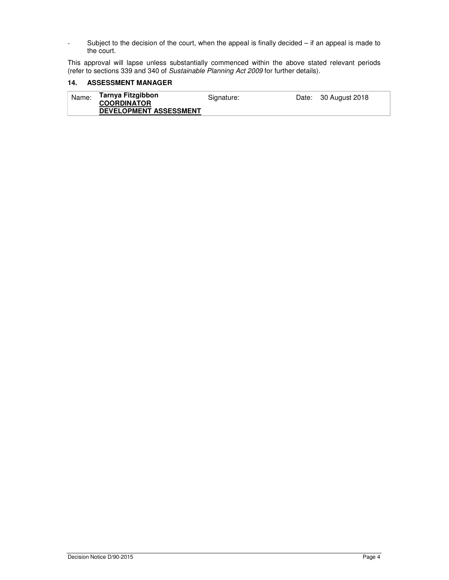- Subject to the decision of the court, when the appeal is finally decided – if an appeal is made to the court.

This approval will lapse unless substantially commenced within the above stated relevant periods (refer to sections 339 and 340 of *Sustainable Planning Act 2009* for further details).

## **14. ASSESSMENT MANAGER**

| Name: | Tarnya Fitzgibbon<br><b>COORDINATOR</b> | Signature: | Date: 30 August 2018 |
|-------|-----------------------------------------|------------|----------------------|
|       | <b>DEVELOPMENT ASSESSMENT</b>           |            |                      |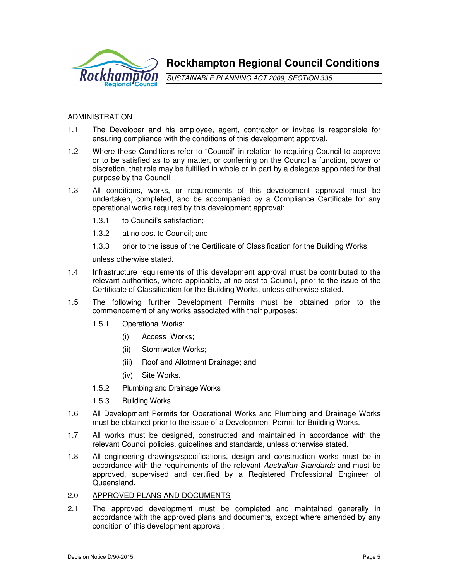

**Rockhampton Regional Council Conditions**

SUSTAINABLE PLANNING ACT 2009, SECTION 335

# ADMINISTRATION

- 1.1 The Developer and his employee, agent, contractor or invitee is responsible for ensuring compliance with the conditions of this development approval.
- 1.2 Where these Conditions refer to "Council" in relation to requiring Council to approve or to be satisfied as to any matter, or conferring on the Council a function, power or discretion, that role may be fulfilled in whole or in part by a delegate appointed for that purpose by the Council.
- 1.3 All conditions, works, or requirements of this development approval must be undertaken, completed, and be accompanied by a Compliance Certificate for any operational works required by this development approval:
	- 1.3.1 to Council's satisfaction;
	- 1.3.2 at no cost to Council; and
	- 1.3.3 prior to the issue of the Certificate of Classification for the Building Works,

unless otherwise stated.

- 1.4 Infrastructure requirements of this development approval must be contributed to the relevant authorities, where applicable, at no cost to Council, prior to the issue of the Certificate of Classification for the Building Works, unless otherwise stated.
- 1.5 The following further Development Permits must be obtained prior to the commencement of any works associated with their purposes:
	- 1.5.1 Operational Works:
		- (i) Access Works;
		- (ii) Stormwater Works;
		- (iii) Roof and Allotment Drainage; and
		- (iv) Site Works.
	- 1.5.2 Plumbing and Drainage Works
	- 1.5.3 Building Works
- 1.6 All Development Permits for Operational Works and Plumbing and Drainage Works must be obtained prior to the issue of a Development Permit for Building Works.
- 1.7 All works must be designed, constructed and maintained in accordance with the relevant Council policies, guidelines and standards, unless otherwise stated.
- 1.8 All engineering drawings/specifications, design and construction works must be in accordance with the requirements of the relevant Australian Standards and must be approved, supervised and certified by a Registered Professional Engineer of Queensland.
- 2.0 APPROVED PLANS AND DOCUMENTS
- 2.1 The approved development must be completed and maintained generally in accordance with the approved plans and documents, except where amended by any condition of this development approval: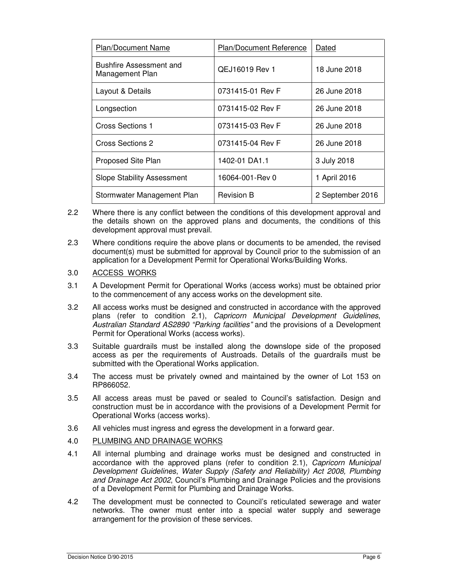| <b>Plan/Document Name</b>                         | <b>Plan/Document Reference</b> | Dated            |
|---------------------------------------------------|--------------------------------|------------------|
| <b>Bushfire Assessment and</b><br>Management Plan | <b>QEJ16019 Rev 1</b>          | 18 June 2018     |
| Layout & Details                                  | 0731415-01 Rev F               | 26 June 2018     |
| Longsection                                       | 0731415-02 Rev F               | 26 June 2018     |
| Cross Sections 1                                  | 0731415-03 Rev F               | 26 June 2018     |
| Cross Sections 2                                  | 0731415-04 Rev F               | 26 June 2018     |
| Proposed Site Plan                                | 1402-01 DA1.1                  | 3 July 2018      |
| <b>Slope Stability Assessment</b>                 | 16064-001-Rev 0                | 1 April 2016     |
| Stormwater Management Plan                        | <b>Revision B</b>              | 2 September 2016 |

- 2.2 Where there is any conflict between the conditions of this development approval and the details shown on the approved plans and documents, the conditions of this development approval must prevail.
- 2.3 Where conditions require the above plans or documents to be amended, the revised document(s) must be submitted for approval by Council prior to the submission of an application for a Development Permit for Operational Works/Building Works.

## 3.0 ACCESS WORKS

- 3.1 A Development Permit for Operational Works (access works) must be obtained prior to the commencement of any access works on the development site.
- 3.2 All access works must be designed and constructed in accordance with the approved plans (refer to condition 2.1), Capricorn Municipal Development Guidelines, Australian Standard AS2890 "Parking facilities" and the provisions of a Development Permit for Operational Works (access works).
- 3.3 Suitable guardrails must be installed along the downslope side of the proposed access as per the requirements of Austroads. Details of the guardrails must be submitted with the Operational Works application.
- 3.4 The access must be privately owned and maintained by the owner of Lot 153 on RP866052.
- 3.5 All access areas must be paved or sealed to Council's satisfaction. Design and construction must be in accordance with the provisions of a Development Permit for Operational Works (access works).
- 3.6 All vehicles must ingress and egress the development in a forward gear.

#### 4.0 PLUMBING AND DRAINAGE WORKS

- 4.1 All internal plumbing and drainage works must be designed and constructed in accordance with the approved plans (refer to condition 2.1), Capricorn Municipal Development Guidelines, Water Supply (Safety and Reliability) Act 2008, Plumbing and Drainage Act 2002, Council's Plumbing and Drainage Policies and the provisions of a Development Permit for Plumbing and Drainage Works.
- 4.2 The development must be connected to Council's reticulated sewerage and water networks. The owner must enter into a special water supply and sewerage arrangement for the provision of these services.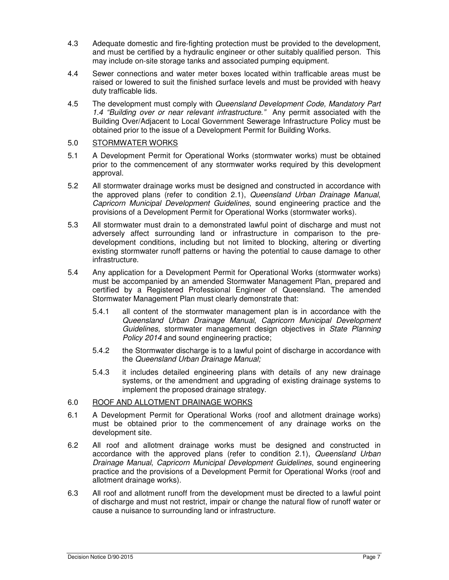- 4.3 Adequate domestic and fire-fighting protection must be provided to the development, and must be certified by a hydraulic engineer or other suitably qualified person. This may include on-site storage tanks and associated pumping equipment.
- 4.4 Sewer connections and water meter boxes located within trafficable areas must be raised or lowered to suit the finished surface levels and must be provided with heavy duty trafficable lids.
- 4.5 The development must comply with Queensland Development Code, Mandatory Part 1.4 "Building over or near relevant infrastructure." Any permit associated with the Building Over/Adjacent to Local Government Sewerage Infrastructure Policy must be obtained prior to the issue of a Development Permit for Building Works.

## 5.0 STORMWATER WORKS

- 5.1 A Development Permit for Operational Works (stormwater works) must be obtained prior to the commencement of any stormwater works required by this development approval.
- 5.2 All stormwater drainage works must be designed and constructed in accordance with the approved plans (refer to condition 2.1), Queensland Urban Drainage Manual, Capricorn Municipal Development Guidelines, sound engineering practice and the provisions of a Development Permit for Operational Works (stormwater works).
- 5.3 All stormwater must drain to a demonstrated lawful point of discharge and must not adversely affect surrounding land or infrastructure in comparison to the predevelopment conditions, including but not limited to blocking, altering or diverting existing stormwater runoff patterns or having the potential to cause damage to other infrastructure.
- 5.4 Any application for a Development Permit for Operational Works (stormwater works) must be accompanied by an amended Stormwater Management Plan, prepared and certified by a Registered Professional Engineer of Queensland. The amended Stormwater Management Plan must clearly demonstrate that:
	- 5.4.1 all content of the stormwater management plan is in accordance with the Queensland Urban Drainage Manual, Capricorn Municipal Development Guidelines, stormwater management design objectives in State Planning Policy 2014 and sound engineering practice;
	- 5.4.2 the Stormwater discharge is to a lawful point of discharge in accordance with the Queensland Urban Drainage Manual;
	- 5.4.3 it includes detailed engineering plans with details of any new drainage systems, or the amendment and upgrading of existing drainage systems to implement the proposed drainage strategy.

## 6.0 ROOF AND ALLOTMENT DRAINAGE WORKS

- 6.1 A Development Permit for Operational Works (roof and allotment drainage works) must be obtained prior to the commencement of any drainage works on the development site.
- 6.2 All roof and allotment drainage works must be designed and constructed in accordance with the approved plans (refer to condition 2.1), Queensland Urban Drainage Manual, Capricorn Municipal Development Guidelines, sound engineering practice and the provisions of a Development Permit for Operational Works (roof and allotment drainage works).
- 6.3 All roof and allotment runoff from the development must be directed to a lawful point of discharge and must not restrict, impair or change the natural flow of runoff water or cause a nuisance to surrounding land or infrastructure.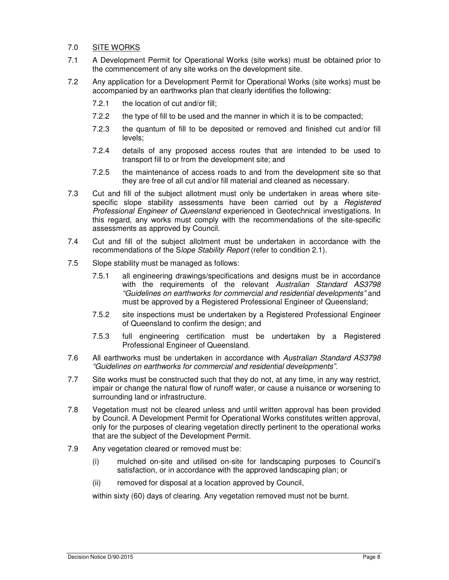## 7.0 SITE WORKS

- 7.1 A Development Permit for Operational Works (site works) must be obtained prior to the commencement of any site works on the development site.
- 7.2 Any application for a Development Permit for Operational Works (site works) must be accompanied by an earthworks plan that clearly identifies the following:
	- 7.2.1 the location of cut and/or fill;
	- 7.2.2 the type of fill to be used and the manner in which it is to be compacted;
	- 7.2.3 the quantum of fill to be deposited or removed and finished cut and/or fill levels;
	- 7.2.4 details of any proposed access routes that are intended to be used to transport fill to or from the development site; and
	- 7.2.5 the maintenance of access roads to and from the development site so that they are free of all cut and/or fill material and cleaned as necessary.
- 7.3 Cut and fill of the subject allotment must only be undertaken in areas where sitespecific slope stability assessments have been carried out by a *Registered* Professional Engineer of Queensland experienced in Geotechnical investigations. In this regard, any works must comply with the recommendations of the site-specific assessments as approved by Council.
- 7.4 Cut and fill of the subject allotment must be undertaken in accordance with the recommendations of the Slope Stability Report (refer to condition 2.1).
- 7.5 Slope stability must be managed as follows:
	- 7.5.1 all engineering drawings/specifications and designs must be in accordance with the requirements of the relevant Australian Standard AS3798 "Guidelines on earthworks for commercial and residential developments" and must be approved by a Registered Professional Engineer of Queensland;
	- 7.5.2 site inspections must be undertaken by a Registered Professional Engineer of Queensland to confirm the design; and
	- 7.5.3 full engineering certification must be undertaken by a Registered Professional Engineer of Queensland.
- 7.6 All earthworks must be undertaken in accordance with Australian Standard AS3798 "Guidelines on earthworks for commercial and residential developments".
- 7.7 Site works must be constructed such that they do not, at any time, in any way restrict, impair or change the natural flow of runoff water, or cause a nuisance or worsening to surrounding land or infrastructure.
- 7.8 Vegetation must not be cleared unless and until written approval has been provided by Council. A Development Permit for Operational Works constitutes written approval, only for the purposes of clearing vegetation directly pertinent to the operational works that are the subject of the Development Permit.
- 7.9 Any vegetation cleared or removed must be:
	- (i) mulched on-site and utilised on-site for landscaping purposes to Council's satisfaction, or in accordance with the approved landscaping plan; or
	- (ii) removed for disposal at a location approved by Council,

within sixty (60) days of clearing. Any vegetation removed must not be burnt.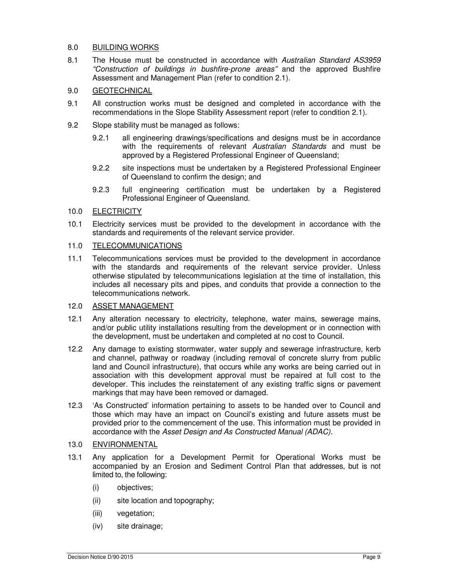## 8.0 BUILDING WORKS

8.1 The House must be constructed in accordance with Australian Standard AS3959 "Construction of buildings in bushfire-prone areas" and the approved Bushfire Assessment and Management Plan (refer to condition 2.1).

## 9.0 GEOTECHNICAL

- 9.1 All construction works must be designed and completed in accordance with the recommendations in the Slope Stability Assessment report (refer to condition 2.1).
- 9.2 Slope stability must be managed as follows:
	- 9.2.1 all engineering drawings/specifications and designs must be in accordance with the requirements of relevant Australian Standards and must be approved by a Registered Professional Engineer of Queensland;
	- 9.2.2 site inspections must be undertaken by a Registered Professional Engineer of Queensland to confirm the design; and
	- 9.2.3 full engineering certification must be undertaken by a Registered Professional Engineer of Queensland.

## 10.0 ELECTRICITY

10.1 Electricity services must be provided to the development in accordance with the standards and requirements of the relevant service provider.

# 11.0 TELECOMMUNICATIONS

11.1 Telecommunications services must be provided to the development in accordance with the standards and requirements of the relevant service provider. Unless otherwise stipulated by telecommunications legislation at the time of installation, this includes all necessary pits and pipes, and conduits that provide a connection to the telecommunications network.

# 12.0 ASSET MANAGEMENT

- 12.1 Any alteration necessary to electricity, telephone, water mains, sewerage mains, and/or public utility installations resulting from the development or in connection with the development, must be undertaken and completed at no cost to Council.
- 12.2 Any damage to existing stormwater, water supply and sewerage infrastructure, kerb and channel, pathway or roadway (including removal of concrete slurry from public land and Council infrastructure), that occurs while any works are being carried out in association with this development approval must be repaired at full cost to the developer. This includes the reinstatement of any existing traffic signs or pavement markings that may have been removed or damaged.
- 12.3 'As Constructed' information pertaining to assets to be handed over to Council and those which may have an impact on Council's existing and future assets must be provided prior to the commencement of the use. This information must be provided in accordance with the Asset Design and As Constructed Manual (ADAC).

### 13.0 ENVIRONMENTAL

- 13.1 Any application for a Development Permit for Operational Works must be accompanied by an Erosion and Sediment Control Plan that addresses, but is not limited to, the following:
	- (i) objectives;
	- (ii) site location and topography;
	- (iii) vegetation;
	- (iv) site drainage;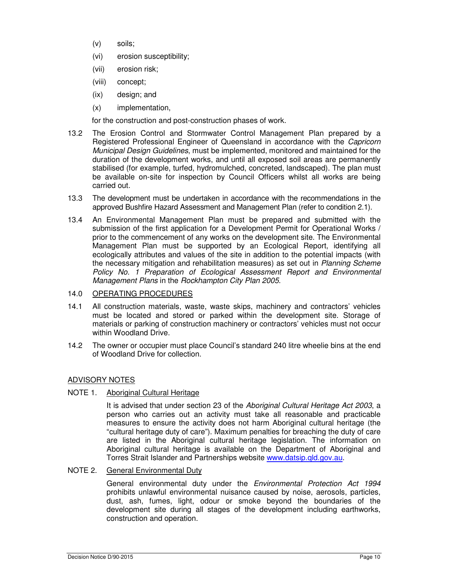- (v) soils;
- (vi) erosion susceptibility;
- (vii) erosion risk;
- (viii) concept;
- (ix) design; and
- (x) implementation,

for the construction and post-construction phases of work.

- 13.2 The Erosion Control and Stormwater Control Management Plan prepared by a Registered Professional Engineer of Queensland in accordance with the Capricorn Municipal Design Guidelines, must be implemented, monitored and maintained for the duration of the development works, and until all exposed soil areas are permanently stabilised (for example, turfed, hydromulched, concreted, landscaped). The plan must be available on-site for inspection by Council Officers whilst all works are being carried out.
- 13.3 The development must be undertaken in accordance with the recommendations in the approved Bushfire Hazard Assessment and Management Plan (refer to condition 2.1).
- 13.4 An Environmental Management Plan must be prepared and submitted with the submission of the first application for a Development Permit for Operational Works / prior to the commencement of any works on the development site. The Environmental Management Plan must be supported by an Ecological Report, identifying all ecologically attributes and values of the site in addition to the potential impacts (with the necessary mitigation and rehabilitation measures) as set out in Planning Scheme Policy No. 1 Preparation of Ecological Assessment Report and Environmental Management Plans in the Rockhampton City Plan 2005.

### 14.0 OPERATING PROCEDURES

- 14.1 All construction materials, waste, waste skips, machinery and contractors' vehicles must be located and stored or parked within the development site. Storage of materials or parking of construction machinery or contractors' vehicles must not occur within Woodland Drive.
- 14.2 The owner or occupier must place Council's standard 240 litre wheelie bins at the end of Woodland Drive for collection.

#### ADVISORY NOTES

NOTE 1. Aboriginal Cultural Heritage

It is advised that under section 23 of the Aboriginal Cultural Heritage Act 2003, a person who carries out an activity must take all reasonable and practicable measures to ensure the activity does not harm Aboriginal cultural heritage (the "cultural heritage duty of care"). Maximum penalties for breaching the duty of care are listed in the Aboriginal cultural heritage legislation. The information on Aboriginal cultural heritage is available on the Department of Aboriginal and Torres Strait Islander and Partnerships website www.datsip.qld.gov.au.

## NOTE 2. General Environmental Duty

General environmental duty under the Environmental Protection Act 1994 prohibits unlawful environmental nuisance caused by noise, aerosols, particles, dust, ash, fumes, light, odour or smoke beyond the boundaries of the development site during all stages of the development including earthworks, construction and operation.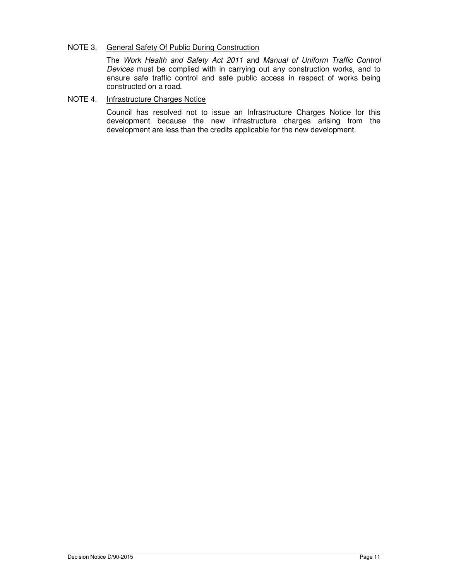### NOTE 3. General Safety Of Public During Construction

The Work Health and Safety Act 2011 and Manual of Uniform Traffic Control Devices must be complied with in carrying out any construction works, and to ensure safe traffic control and safe public access in respect of works being constructed on a road.

## NOTE 4. Infrastructure Charges Notice

Council has resolved not to issue an Infrastructure Charges Notice for this development because the new infrastructure charges arising from the development are less than the credits applicable for the new development.